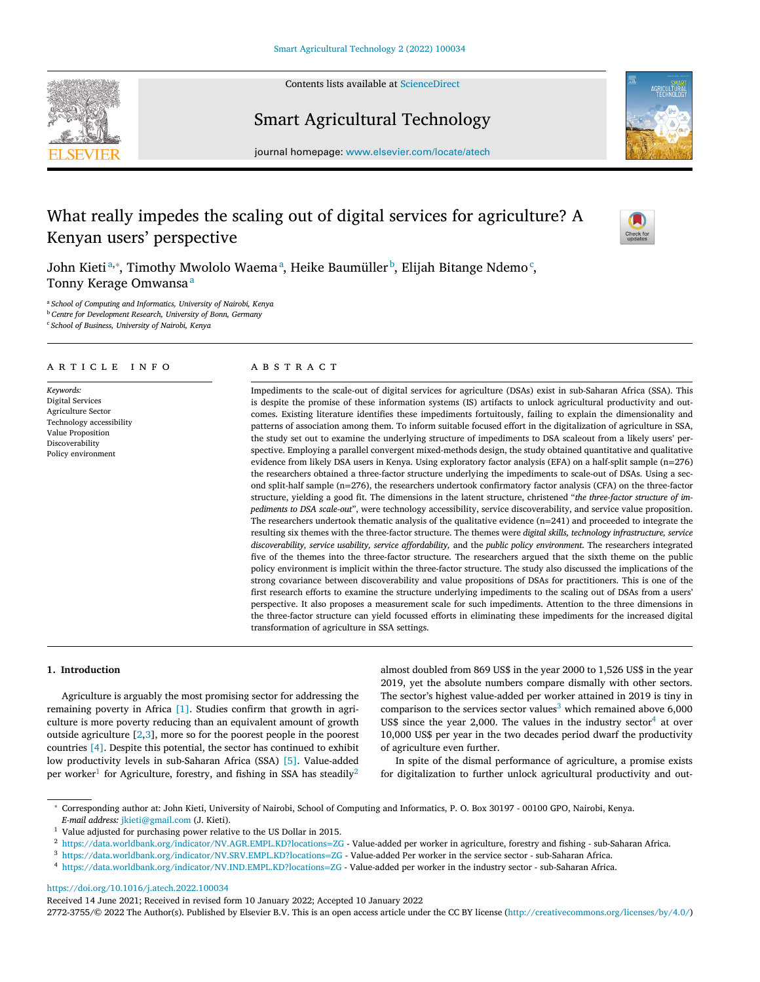Contents lists available at [ScienceDirect](http://www.ScienceDirect.com)

<span id="page-0-0"></span>



Smart Agricultural Technology

journal homepage: [www.elsevier.com/locate/atech](http://www.elsevier.com/locate/atech)

# What really impedes the scaling out of digital services for agriculture? A Kenyan users' perspective



John Kietiª,\*, Timothy Mwololo Waemaª, Heike Baumüller<sup>b</sup>, Elijah Bitange Ndemo<sup>c</sup>, Tonny Kerage Omwansa<sup>a</sup>

<sup>a</sup> *School of Computing and Informatics, University of Nairobi, Kenya* <sup>b</sup> *Centre for Development Research, University of Bonn, Germany* <sup>c</sup> *School of Business, University of Nairobi, Kenya*

#### a r t i c l e i n f o

*Keywords:* Digital Services Agriculture Sector Technology accessibility Value Proposition Discoverability Policy environment

## A B S T R A C T

Impediments to the scale-out of digital services for agriculture (DSAs) exist in sub-Saharan Africa (SSA). This is despite the promise of these information systems (IS) artifacts to unlock agricultural productivity and outcomes. Existing literature identifies these impediments fortuitously, failing to explain the dimensionality and patterns of association among them. To inform suitable focused effort in the digitalization of agriculture in SSA, the study set out to examine the underlying structure of impediments to DSA scaleout from a likely users' perspective. Employing a parallel convergent mixed-methods design, the study obtained quantitative and qualitative evidence from likely DSA users in Kenya. Using exploratory factor analysis (EFA) on a half-split sample (n=276) the researchers obtained a three-factor structure underlying the impediments to scale-out of DSAs. Using a second split-half sample (n=276), the researchers undertook confirmatory factor analysis (CFA) on the three-factor structure, yielding a good fit. The dimensions in the latent structure, christened "*the three-factor structure of impediments to DSA scale-out*", were technology accessibility, service discoverability, and service value proposition. The researchers undertook thematic analysis of the qualitative evidence  $(n=241)$  and proceeded to integrate the resulting six themes with the three-factor structure. The themes were *digital skills, technology infrastructure, service discoverability, service usability, service affordability,* and the *public policy environment*. The researchers integrated five of the themes into the three-factor structure. The researchers argued that the sixth theme on the public policy environment is implicit within the three-factor structure. The study also discussed the implications of the strong covariance between discoverability and value propositions of DSAs for practitioners. This is one of the first research efforts to examine the structure underlying impediments to the scaling out of DSAs from a users' perspective. It also proposes a measurement scale for such impediments. Attention to the three dimensions in the three-factor structure can yield focussed efforts in eliminating these impediments for the increased digital transformation of agriculture in SSA settings.

#### **1. Introduction**

Agriculture is arguably the most promising sector for addressing the remaining poverty in Africa [\[1\].](#page-10-0) Studies confirm that growth in agriculture is more poverty reducing than an equivalent amount of growth outside agriculture  $[2,3]$ , more so for the poorest people in the poorest countries [\[4\].](#page-10-0) Despite this potential, the sector has continued to exhibit low productivity levels in sub-Saharan Africa (SSA) [\[5\].](#page-10-0) Value-added per worker<sup>1</sup> for Agriculture, forestry, and fishing in SSA has steadily<sup>2</sup>

almost doubled from 869 US\$ in the year 2000 to 1,526 US\$ in the year 2019, yet the absolute numbers compare dismally with other sectors. The sector's highest value-added per worker attained in 2019 is tiny in comparison to the services sector values $3$  which remained above 6,000 US\$ since the year 2,000. The values in the industry sector $4$  at over 10,000 US\$ per year in the two decades period dwarf the productivity of agriculture even further.

In spite of the dismal performance of agriculture, a promise exists for digitalization to further unlock agricultural productivity and out-

<https://doi.org/10.1016/j.atech.2022.100034>

Received 14 June 2021; Received in revised form 10 January 2022; Accepted 10 January 2022

2772-3755/© 2022 The Author(s). Published by Elsevier B.V. This is an open access article under the CC BY license [\(http://creativecommons.org/licenses/by/4.0/\)](http://creativecommons.org/licenses/by/4.0/)

<sup>∗</sup> Corresponding author at: John Kieti, University of Nairobi, School of Computing and Informatics, P. O. Box 30197 - 00100 GPO, Nairobi, Kenya. *E-mail address:* [jkieti@gmail.com](mailto:jkieti@gmail.com) (J. Kieti).

<sup>&</sup>lt;sup>1</sup> Value adjusted for purchasing power relative to the US Dollar in 2015.

<sup>2</sup> [https://data.worldbank.org/indicator/NV.AGR.EMPL.KD?locations](https://data.worldbank.org/indicator/NV.AGR.EMPL.KD?locations=ZG)=ZG - Value-added per worker in agriculture, forestry and fishing - sub-Saharan Africa.

<sup>3</sup> [https://data.worldbank.org/indicator/NV.SRV.EMPL.KD?locations](https://data.worldbank.org/indicator/NV.SRV.EMPL.KD?locations=ZG)=ZG - Value-added Per worker in the service sector - sub-Saharan Africa.

<sup>4</sup> [https://data.worldbank.org/indicator/NV.IND.EMPL.KD?locations](https://data.worldbank.org/indicator/NV.IND.EMPL.KD?locations=ZG)=ZG - Value-added per worker in the industry sector - sub-Saharan Africa.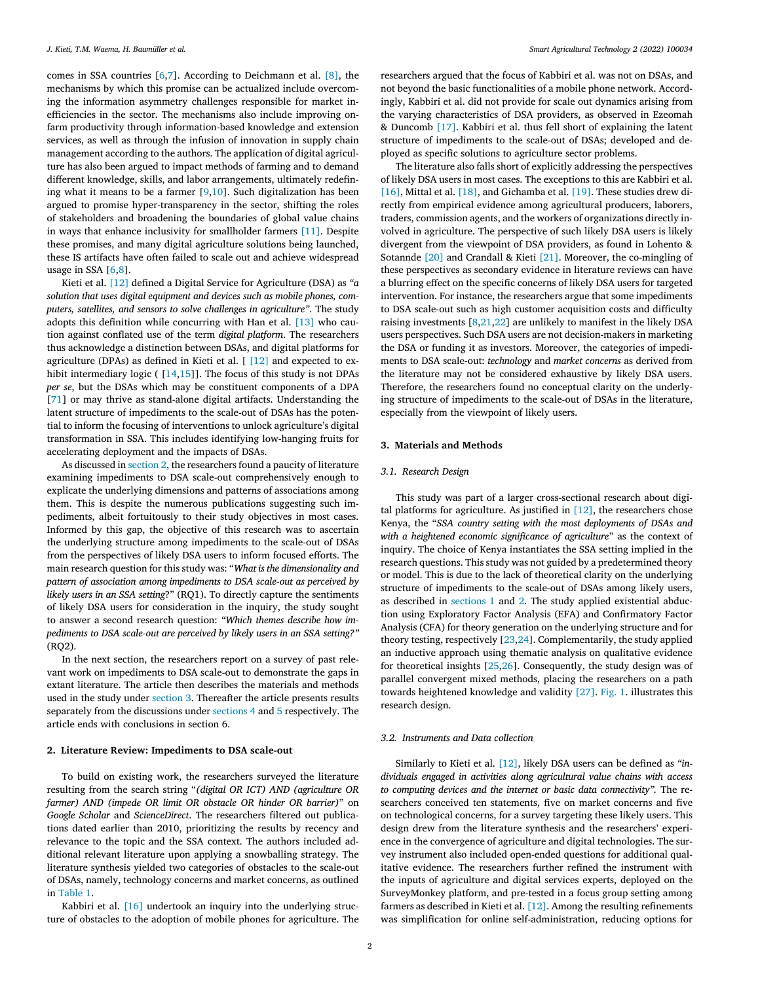comes in SSA countries [\[6,7\]](#page-10-0). According to Deichmann et al. [\[8\],](#page-10-0) the mechanisms by which this promise can be actualized include overcoming the information asymmetry challenges responsible for market inefficiencies in the sector. The mechanisms also include improving onfarm productivity through information-based knowledge and extension services, as well as through the infusion of innovation in supply chain management according to the authors. The application of digital agriculture has also been argued to impact methods of farming and to demand different knowledge, skills, and labor arrangements, ultimately redefining what it means to be a farmer  $[9,10]$ . Such digitalization has been argued to promise hyper-transparency in the sector, shifting the roles of stakeholders and broadening the boundaries of global value chains in ways that enhance inclusivity for smallholder farmers [\[11\].](#page-10-0) Despite these promises, and many digital agriculture solutions being launched, these IS artifacts have often failed to scale out and achieve widespread usage in SSA [\[6,8\]](#page-10-0).

Kieti et al. [\[12\]](#page-10-0) defined a Digital Service for Agriculture (DSA) as *"a solution that uses digital equipment and devices such as mobile phones, computers, satellites, and sensors to solve challenges in agriculture"*. The study adopts this definition while concurring with Han et al. [\[13\]](#page-10-0) who caution against conflated use of the term *digital platform*. The researchers thus acknowledge a distinction between DSAs, and digital platforms for agriculture (DPAs) as defined in Kieti et al. [ [\[12\]](#page-10-0) and expected to ex-hibit intermediary logic ( [\[14,15\]](#page-10-0)]. The focus of this study is not DPAs *per se*, but the DSAs which may be constituent components of a DPA [\[71\]](#page-11-0) or may thrive as stand-alone digital artifacts. Understanding the latent structure of impediments to the scale-out of DSAs has the potential to inform the focusing of interventions to unlock agriculture's digital transformation in SSA. This includes identifying low-hanging fruits for accelerating deployment and the impacts of DSAs.

As discussed in section 2, the researchers found a paucity of literature examining impediments to DSA scale-out comprehensively enough to explicate the underlying dimensions and patterns of associations among them. This is despite the numerous publications suggesting such impediments, albeit fortuitously to their study objectives in most cases. Informed by this gap, the objective of this research was to ascertain the underlying structure among impediments to the scale-out of DSAs from the perspectives of likely DSA users to inform focused efforts. The main research question for this study was: "*What is the dimensionality and pattern of association among impediments to DSA scale-out as perceived by likely users in an SSA setting*?" (RQ1). To directly capture the sentiments of likely DSA users for consideration in the inquiry, the study sought to answer a second research question: *"Which themes describe how impediments to DSA scale-out are perceived by likely users in an SSA setting?"*  $(RO2)$ .

In the next section, the researchers report on a survey of past relevant work on impediments to DSA scale-out to demonstrate the gaps in extant literature. The article then describes the materials and methods used in the study under section 3. Thereafter the article presents results separately from the discussions under [sections](#page-3-0) 4 and [5](#page-6-0) respectively. The article ends with conclusions in section 6.

#### **2. Literature Review: Impediments to DSA scale-out**

To build on existing work, the researchers surveyed the literature resulting from the search string "*(digital OR ICT) AND (agriculture OR farmer) AND (impede OR limit OR obstacle OR hinder OR barrier)*" on *Google Scholar* and *ScienceDirect*. The researchers filtered out publications dated earlier than 2010, prioritizing the results by recency and relevance to the topic and the SSA context. The authors included additional relevant literature upon applying a snowballing strategy. The literature synthesis yielded two categories of obstacles to the scale-out of DSAs, namely, technology concerns and market concerns, as outlined in [Table](#page-2-0) 1.

Kabbiri et al. [\[16\]](#page-10-0) undertook an inquiry into the underlying structure of obstacles to the adoption of mobile phones for agriculture. The researchers argued that the focus of Kabbiri et al. was not on DSAs, and not beyond the basic functionalities of a mobile phone network. Accordingly, Kabbiri et al. did not provide for scale out dynamics arising from the varying characteristics of DSA providers, as observed in Ezeomah & Duncomb [\[17\].](#page-10-0) Kabbiri et al. thus fell short of explaining the latent structure of impediments to the scale-out of DSAs; developed and deployed as specific solutions to agriculture sector problems.

The literature also falls short of explicitly addressing the perspectives of likely DSA users in most cases. The exceptions to this are Kabbiri et al. [\[16\],](#page-10-0) Mittal et al. [\[18\],](#page-10-0) and Gichamba et al. [\[19\].](#page-10-0) These studies drew directly from empirical evidence among agricultural producers, laborers, traders, commission agents, and the workers of organizations directly involved in agriculture. The perspective of such likely DSA users is likely divergent from the viewpoint of DSA providers, as found in Lohento & Sotannde [\[20\]](#page-10-0) and Crandall & Kieti [\[21\].](#page-10-0) Moreover, the co-mingling of these perspectives as secondary evidence in literature reviews can have a blurring effect on the specific concerns of likely DSA users for targeted intervention. For instance, the researchers argue that some impediments to DSA scale-out such as high customer acquisition costs and difficulty raising investments  $[8,21,22]$  are unlikely to manifest in the likely DSA users perspectives. Such DSA users are not decision-makers in marketing the DSA or funding it as investors. Moreover, the categories of impediments to DSA scale-out: *technology* and *market concerns* as derived from the literature may not be considered exhaustive by likely DSA users. Therefore, the researchers found no conceptual clarity on the underlying structure of impediments to the scale-out of DSAs in the literature, especially from the viewpoint of likely users.

#### **3. Materials and Methods**

## *3.1. Research Design*

This study was part of a larger cross-sectional research about digital platforms for agriculture. As justified in  $[12]$ , the researchers chose Kenya, the "*SSA country setting with the most deployments of DSAs and with a heightened economic significance of agriculture*" as the context of inquiry. The choice of Kenya instantiates the SSA setting implied in the research questions. This study was not guided by a predetermined theory or model. This is due to the lack of theoretical clarity on the underlying structure of impediments to the scale-out of DSAs among likely users, as described in [sections](#page-0-0) 1 and 2. The study applied existential abduction using Exploratory Factor Analysis (EFA) and Confirmatory Factor Analysis (CFA) for theory generation on the underlying structure and for theory testing, respectively [\[23,24\]](#page-10-0). Complementarily, the study applied an inductive approach using thematic analysis on qualitative evidence for theoretical insights [\[25,26\]](#page-10-0). Consequently, the study design was of parallel convergent mixed methods, placing the researchers on a path towards heightened knowledge and validity [\[27\].](#page-10-0) [Fig.](#page-2-0) 1. illustrates this research design.

#### *3.2. Instruments and Data collection*

Similarly to Kieti et al. [\[12\],](#page-10-0) likely DSA users can be defined as *"individuals engaged in activities along agricultural value chains with access to computing devices and the internet or basic data connectivity".* The researchers conceived ten statements, five on market concerns and five on technological concerns, for a survey targeting these likely users. This design drew from the literature synthesis and the researchers' experience in the convergence of agriculture and digital technologies. The survey instrument also included open-ended questions for additional qualitative evidence. The researchers further refined the instrument with the inputs of agriculture and digital services experts, deployed on the SurveyMonkey platform, and pre-tested in a focus group setting among farmers as described in Kieti et al. [\[12\].](#page-10-0) Among the resulting refinements was simplification for online self-administration, reducing options for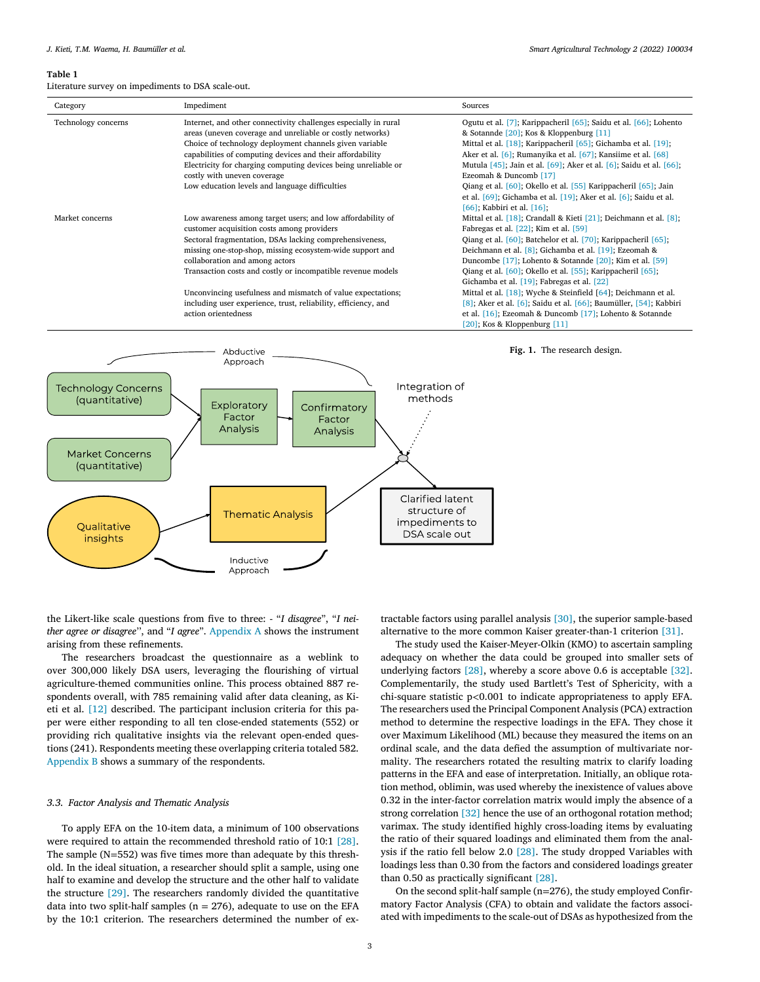#### <span id="page-2-0"></span>**Table 1**

Literature survey on impediments to DSA scale-out.

| Category            | Impediment                                                                                                                                                                                                                                                         | Sources                                                                                                                                                                                                                                                                                             |
|---------------------|--------------------------------------------------------------------------------------------------------------------------------------------------------------------------------------------------------------------------------------------------------------------|-----------------------------------------------------------------------------------------------------------------------------------------------------------------------------------------------------------------------------------------------------------------------------------------------------|
| Technology concerns | Internet, and other connectivity challenges especially in rural<br>areas (uneven coverage and unreliable or costly networks)<br>Choice of technology deployment channels given variable                                                                            | Ogutu et al. [7]; Karippacheril [65]; Saidu et al. [66]; Lohento<br>& Sotannde [20]; Kos & Kloppenburg [11]<br>Mittal et al. [18]; Karippacheril [65]; Gichamba et al. [19];                                                                                                                        |
|                     | capabilities of computing devices and their affordability<br>Electricity for charging computing devices being unreliable or<br>costly with uneven coverage                                                                                                         | Aker et al. [6]; Rumanyika et al. [67]; Kansiime et al. [68]<br>Mutula [45]; Jain et al. [69]; Aker et al. [6]; Saidu et al. [66];<br>Ezeomah & Duncomb [17]                                                                                                                                        |
|                     | Low education levels and language difficulties                                                                                                                                                                                                                     | Qiang et al. [60]; Okello et al. [55] Karippacheril [65]; Jain<br>et al. [69]; Gichamba et al. [19]; Aker et al. [6]; Saidu et al.<br>[66]; Kabbiri et al. [16];                                                                                                                                    |
| Market concerns     | Low awareness among target users; and low affordability of<br>customer acquisition costs among providers<br>Sectoral fragmentation, DSAs lacking comprehensiveness,<br>missing one-stop-shop, missing ecosystem-wide support and<br>collaboration and among actors | Mittal et al. [18]; Crandall & Kieti [21]; Deichmann et al. [8];<br>Fabregas et al. $[22]$ ; Kim et al. $[59]$<br>Qiang et al. [60]; Batchelor et al. [70]; Karippacheril [65];<br>Deichmann et al. [8]; Gichamba et al. [19]; Ezeomah &<br>Duncombe [17]; Lohento & Sotannde [20]; Kim et al. [59] |
|                     | Transaction costs and costly or incompatible revenue models                                                                                                                                                                                                        | Qiang et al. [60]; Okello et al. [55]; Karippacheril [65];<br>Gichamba et al. [19]; Fabregas et al. [22]                                                                                                                                                                                            |
|                     | Unconvincing usefulness and mismatch of value expectations;<br>including user experience, trust, reliability, efficiency, and<br>action orientedness                                                                                                               | Mittal et al. [18]; Wyche & Steinfield [64]; Deichmann et al.<br>$[8]$ ; Aker et al. $[6]$ ; Saidu et al. $[66]$ ; Baumüller, $[54]$ ; Kabbiri<br>et al. $[16]$ ; Ezeomah & Duncomb $[17]$ ; Lohento & Sotannde<br>$[20]$ ; Kos & Kloppenburg $[11]$                                                |



the Likert-like scale questions from five to three: - "*I disagree*", "*I neither agree or disagree*'', and "*I agree*". [Appendix](#page-9-0) A shows the instrument arising from these refinements.

The researchers broadcast the questionnaire as a weblink to over 300,000 likely DSA users, leveraging the flourishing of virtual agriculture-themed communities online. This process obtained 887 respondents overall, with 785 remaining valid after data cleaning, as Kieti et al. [\[12\]](#page-10-0) described. The participant inclusion criteria for this paper were either responding to all ten close-ended statements (552) or providing rich qualitative insights via the relevant open-ended questions (241). Respondents meeting these overlapping criteria totaled 582. [Appendix](#page-9-0) B shows a summary of the respondents.

## *3.3. Factor Analysis and Thematic Analysis*

To apply EFA on the 10-item data, a minimum of 100 observations were required to attain the recommended threshold ratio of 10:1 [\[28\].](#page-10-0) The sample (N=552) was five times more than adequate by this threshold. In the ideal situation, a researcher should split a sample, using one half to examine and develop the structure and the other half to validate the structure [\[29\].](#page-10-0) The researchers randomly divided the quantitative data into two split-half samples ( $n = 276$ ), adequate to use on the EFA by the 10:1 criterion. The researchers determined the number of extractable factors using parallel analysis [\[30\],](#page-10-0) the superior sample-based alternative to the more common Kaiser greater-than-1 criterion [\[31\].](#page-10-0)

**Fig. 1.** The research design.

The study used the Kaiser-Meyer-Olkin (KMO) to ascertain sampling adequacy on whether the data could be grouped into smaller sets of underlying factors [\[28\],](#page-10-0) whereby a score above 0.6 is acceptable [\[32\].](#page-10-0) Complementarily, the study used Bartlett's Test of Sphericity, with a chi-square statistic p*<*0.001 to indicate appropriateness to apply EFA. The researchers used the Principal Component Analysis (PCA) extraction method to determine the respective loadings in the EFA. They chose it over Maximum Likelihood (ML) because they measured the items on an ordinal scale, and the data defied the assumption of multivariate normality. The researchers rotated the resulting matrix to clarify loading patterns in the EFA and ease of interpretation. Initially, an oblique rotation method, oblimin, was used whereby the inexistence of values above 0.32 in the inter-factor correlation matrix would imply the absence of a strong correlation [\[32\]](#page-10-0) hence the use of an orthogonal rotation method; varimax. The study identified highly cross-loading items by evaluating the ratio of their squared loadings and eliminated them from the analysis if the ratio fell below 2.0 [\[28\].](#page-10-0) The study dropped Variables with loadings less than 0.30 from the factors and considered loadings greater than 0.50 as practically significant [\[28\].](#page-10-0)

On the second split-half sample (n=276), the study employed Confirmatory Factor Analysis (CFA) to obtain and validate the factors associated with impediments to the scale-out of DSAs as hypothesized from the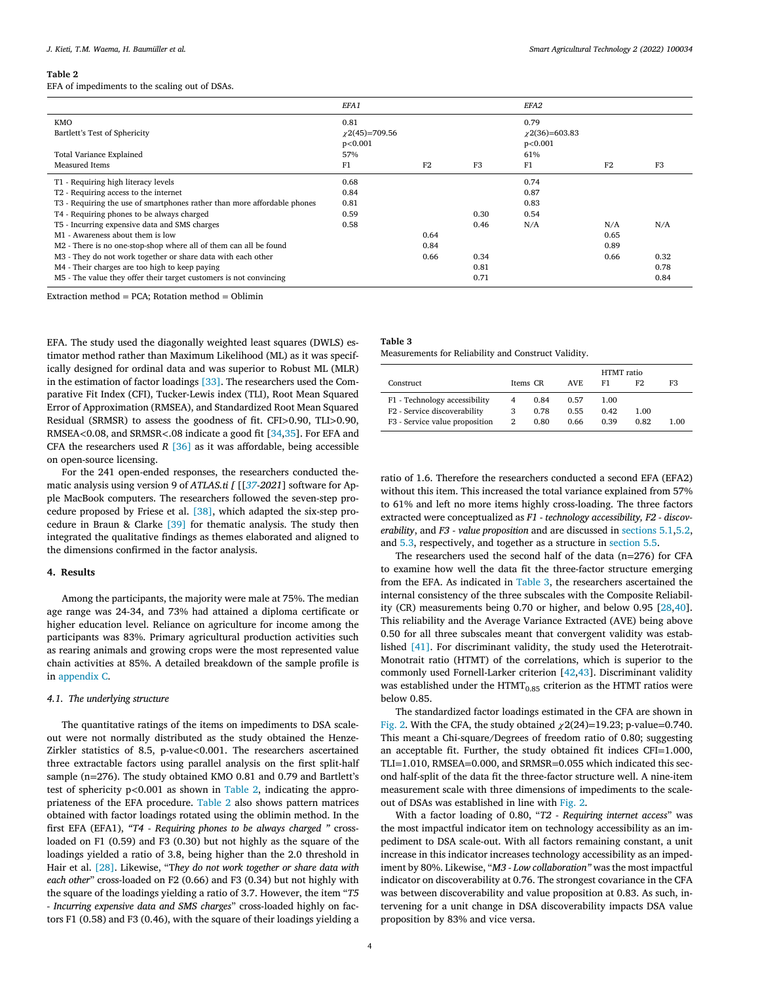#### <span id="page-3-0"></span>**Table 2**

EFA of impediments to the scaling out of DSAs.

|                                                                          | EFA1                |                |                | EFA <sub>2</sub>    |      |                |
|--------------------------------------------------------------------------|---------------------|----------------|----------------|---------------------|------|----------------|
| <b>KMO</b>                                                               | 0.81                |                |                | 0.79                |      |                |
| Bartlett's Test of Sphericity                                            | $\chi$ 2(45)=709.56 |                |                | $\chi$ 2(36)=603.83 |      |                |
|                                                                          | p<0.001             |                |                | p<0.001             |      |                |
| Total Variance Explained                                                 | 57%                 |                |                | 61%                 |      |                |
| <b>Measured Items</b>                                                    | F1                  | F <sub>2</sub> | F <sub>3</sub> | F1                  | F2   | F <sub>3</sub> |
| T1 - Requiring high literacy levels                                      | 0.68                |                |                | 0.74                |      |                |
| T2 - Requiring access to the internet                                    | 0.84                |                |                | 0.87                |      |                |
| T3 - Requiring the use of smartphones rather than more affordable phones | 0.81                |                |                | 0.83                |      |                |
| T4 - Requiring phones to be always charged                               | 0.59                |                | 0.30           | 0.54                |      |                |
| T5 - Incurring expensive data and SMS charges                            | 0.58                |                | 0.46           | N/A                 | N/A  | N/A            |
| M1 - Awareness about them is low                                         |                     | 0.64           |                |                     | 0.65 |                |
| M2 - There is no one-stop-shop where all of them can all be found        |                     | 0.84           |                |                     | 0.89 |                |
| M3 - They do not work together or share data with each other             |                     | 0.66           | 0.34           |                     | 0.66 | 0.32           |
| M4 - Their charges are too high to keep paying                           |                     |                | 0.81           |                     |      | 0.78           |
| M5 - The value they offer their target customers is not convincing       |                     |                | 0.71           |                     |      | 0.84           |

Extraction method =  $PCA$ ; Rotation method = Oblimin

EFA. The study used the diagonally weighted least squares (DWLS) estimator method rather than Maximum Likelihood (ML) as it was specifically designed for ordinal data and was superior to Robust ML (MLR) in the estimation of factor loadings [\[33\].](#page-10-0) The researchers used the Comparative Fit Index (CFI), Tucker-Lewis index (TLI), Root Mean Squared Error of Approximation (RMSEA), and Standardized Root Mean Squared Residual (SRMSR) to assess the goodness of fit. CFI*>*0.90, TLI*>*0.90, RMSEA*<*0.08, and SRMSR*<*.08 indicate a good fit [\[34,35\]](#page-10-0). For EFA and CFA the researchers used *R* [\[36\]](#page-10-0) as it was affordable, being accessible on open-source licensing.

For the 241 open-ended responses, the researchers conducted thematic analysis using version 9 of *ATLAS.ti [* [[*[37](#page-10-0)*-*2021*] software for Apple MacBook computers. The researchers followed the seven-step procedure proposed by Friese et al. [\[38\],](#page-10-0) which adapted the six-step procedure in Braun & Clarke [\[39\]](#page-10-0) for thematic analysis. The study then integrated the qualitative findings as themes elaborated and aligned to the dimensions confirmed in the factor analysis.

## **4. Results**

Among the participants, the majority were male at 75%. The median age range was 24-34, and 73% had attained a diploma certificate or higher education level. Reliance on agriculture for income among the participants was 83%. Primary agricultural production activities such as rearing animals and growing crops were the most represented value chain activities at 85%. A detailed breakdown of the sample profile is in [appendix](#page-9-0) C.

#### *4.1. The underlying structure*

The quantitative ratings of the items on impediments to DSA scaleout were not normally distributed as the study obtained the Henze-Zirkler statistics of 8.5, p-value*<*0.001. The researchers ascertained three extractable factors using parallel analysis on the first split-half sample (n=276). The study obtained KMO 0.81 and 0.79 and Bartlett's test of sphericity p*<*0.001 as shown in Table 2, indicating the appropriateness of the EFA procedure. Table 2 also shows pattern matrices obtained with factor loadings rotated using the oblimin method. In the first EFA (EFA1), *"T4 - Requiring phones to be always charged "* crossloaded on F1 (0.59) and F3 (0.30) but not highly as the square of the loadings yielded a ratio of 3.8, being higher than the 2.0 threshold in Hair et al. [\[28\].](#page-10-0) Likewise, "T*hey do not work together or share data with each other*" cross-loaded on F2 (0.66) and F3 (0.34) but not highly with the square of the loadings yielding a ratio of 3.7. However, the item "*T5 - Incurring expensive data and SMS charges*" cross-loaded highly on factors F1 (0.58) and F3 (0.46), with the square of their loadings yielding a

| <b>Table 3</b>                                       |
|------------------------------------------------------|
| Measurements for Reliability and Construct Validity. |

|                                |   |          |      |      | HTMT ratio |      |  |
|--------------------------------|---|----------|------|------|------------|------|--|
| Construct                      |   | Items CR | AVE. | F1   | F2         | F3   |  |
| F1 - Technology accessibility  | 4 | 0.84     | 0.57 | 1.00 |            |      |  |
| F2 - Service discoverability   | 3 | 0.78     | 0.55 | 0.42 | 1.00       |      |  |
| F3 - Service value proposition | 2 | 0.80     | 0.66 | 0.39 | 0.82       | 1.00 |  |

ratio of 1.6. Therefore the researchers conducted a second EFA (EFA2) without this item. This increased the total variance explained from 57% to 61% and left no more items highly cross-loading. The three factors extracted were conceptualized as *F1 - technology accessibility, F2 - discoverability*, and *F3 - value proposition* and are discussed in [sections](#page-6-0) 5.1[,5.2,](#page-6-0) and [5.3,](#page-7-0) respectively, and together as a structure in [section](#page-7-0) 5.5.

The researchers used the second half of the data (n=276) for CFA to examine how well the data fit the three-factor structure emerging from the EFA. As indicated in Table 3, the researchers ascertained the internal consistency of the three subscales with the Composite Reliability (CR) measurements being 0.70 or higher, and below 0.95 [\[28,40\]](#page-10-0). This reliability and the Average Variance Extracted (AVE) being above 0.50 for all three subscales meant that convergent validity was established [\[41\].](#page-10-0) For discriminant validity, the study used the Heterotrait-Monotrait ratio (HTMT) of the correlations, which is superior to the commonly used Fornell-Larker criterion [\[42,43\]](#page-10-0). Discriminant validity was established under the  $HTMLrm_{0.85}$  criterion as the HTMT ratios were below 0.85.

The standardized factor loadings estimated in the CFA are shown in [Fig.](#page-4-0) 2. With the CFA, the study obtained  $\chi$ 2(24)=19.23; p-value=0.740. This meant a Chi-square/Degrees of freedom ratio of 0.80; suggesting an acceptable fit. Further, the study obtained fit indices CFI=1.000, TLI=1.010, RMSEA=0.000, and SRMSR=0.055 which indicated this second half-split of the data fit the three-factor structure well. A nine-item measurement scale with three dimensions of impediments to the scaleout of DSAs was established in line with [Fig.](#page-4-0) 2.

With a factor loading of 0.80, "*T2 - Requiring internet access*" was the most impactful indicator item on technology accessibility as an impediment to DSA scale-out. With all factors remaining constant, a unit increase in this indicator increases technology accessibility as an impediment by 80%. Likewise, "*M3 - Low collaboration"* was the most impactful indicator on discoverability at 0.76. The strongest covariance in the CFA was between discoverability and value proposition at 0.83. As such, intervening for a unit change in DSA discoverability impacts DSA value proposition by 83% and vice versa.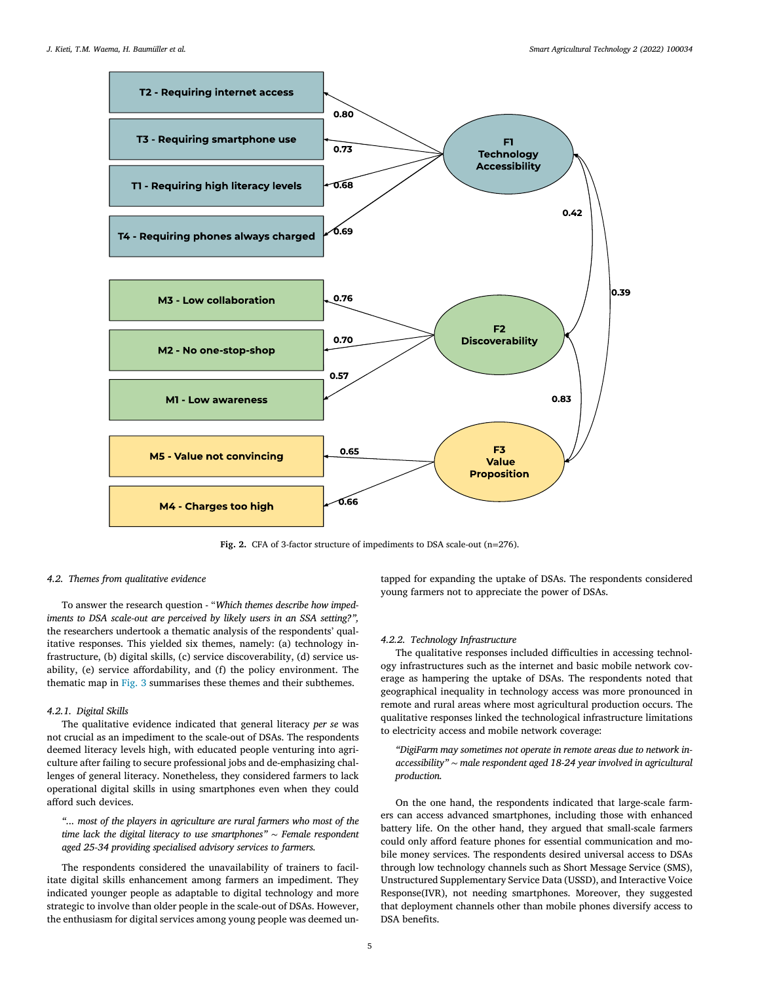<span id="page-4-0"></span>

**Fig. 2.** CFA of 3-factor structure of impediments to DSA scale-out (n=276).

#### *4.2. Themes from qualitative evidence*

To answer the research question - "*Which themes describe how impediments to DSA scale-out are perceived by likely users in an SSA setting?",* the researchers undertook a thematic analysis of the respondents' qualitative responses. This yielded six themes, namely: (a) technology infrastructure, (b) digital skills, (c) service discoverability, (d) service usability, (e) service affordability, and (f) the policy environment. The thematic map in [Fig.](#page-5-0) 3 summarises these themes and their subthemes.

## *4.2.1. Digital Skills*

The qualitative evidence indicated that general literacy *per se* was not crucial as an impediment to the scale-out of DSAs. The respondents deemed literacy levels high, with educated people venturing into agriculture after failing to secure professional jobs and de-emphasizing challenges of general literacy. Nonetheless, they considered farmers to lack operational digital skills in using smartphones even when they could afford such devices.

*"... most of the players in agriculture are rural farmers who most of the time lack the digital literacy to use smartphones"* ∼ *Female respondent aged 25-34 providing specialised advisory services to farmers.*

The respondents considered the unavailability of trainers to facilitate digital skills enhancement among farmers an impediment. They indicated younger people as adaptable to digital technology and more strategic to involve than older people in the scale-out of DSAs. However, the enthusiasm for digital services among young people was deemed untapped for expanding the uptake of DSAs. The respondents considered young farmers not to appreciate the power of DSAs.

## *4.2.2. Technology Infrastructure*

The qualitative responses included difficulties in accessing technology infrastructures such as the internet and basic mobile network coverage as hampering the uptake of DSAs. The respondents noted that geographical inequality in technology access was more pronounced in remote and rural areas where most agricultural production occurs. The qualitative responses linked the technological infrastructure limitations to electricity access and mobile network coverage:

*"DigiFarm may sometimes not operate in remote areas due to network inaccessibility"* ∼ *male respondent aged 18-24 year involved in agricultural production.*

On the one hand, the respondents indicated that large-scale farmers can access advanced smartphones, including those with enhanced battery life. On the other hand, they argued that small-scale farmers could only afford feature phones for essential communication and mobile money services. The respondents desired universal access to DSAs through low technology channels such as Short Message Service (SMS), Unstructured Supplementary Service Data (USSD), and Interactive Voice Response(IVR), not needing smartphones. Moreover, they suggested that deployment channels other than mobile phones diversify access to DSA benefits.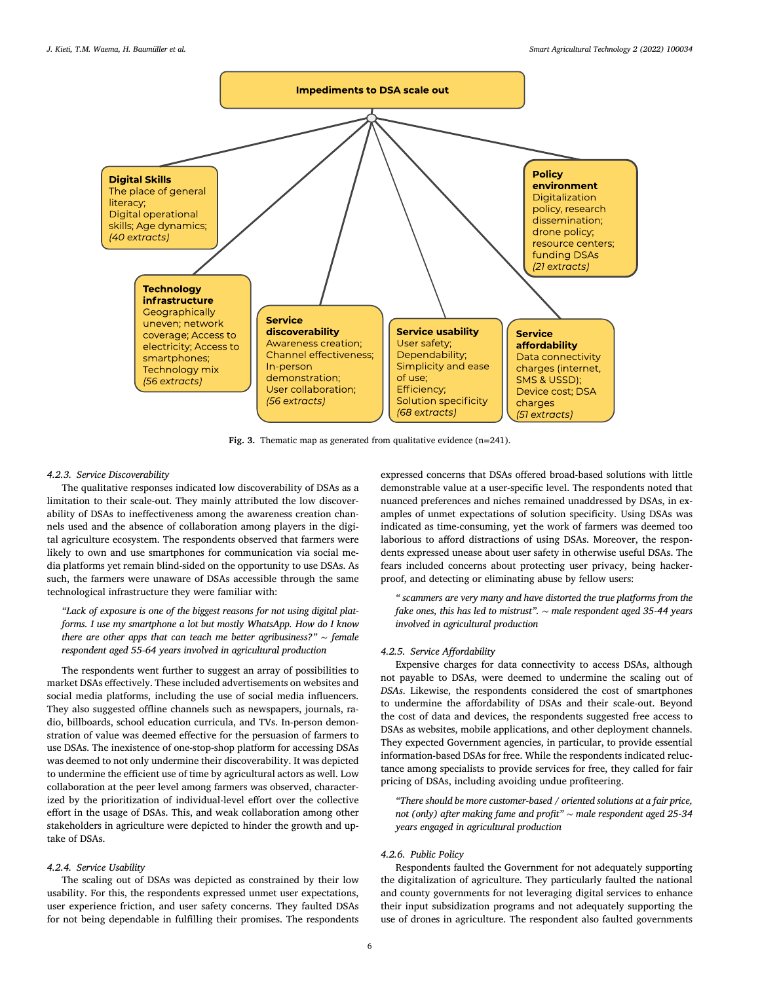<span id="page-5-0"></span>

**Fig. 3.** Thematic map as generated from qualitative evidence (n=241).

#### *4.2.3. Service Discoverability*

The qualitative responses indicated low discoverability of DSAs as a limitation to their scale-out. They mainly attributed the low discoverability of DSAs to ineffectiveness among the awareness creation channels used and the absence of collaboration among players in the digital agriculture ecosystem. The respondents observed that farmers were likely to own and use smartphones for communication via social media platforms yet remain blind-sided on the opportunity to use DSAs. As such, the farmers were unaware of DSAs accessible through the same technological infrastructure they were familiar with:

*"Lack of exposure is one of the biggest reasons for not using digital platforms. I use my smartphone a lot but mostly WhatsApp. How do I know there are other apps that can teach me better agribusiness?"* ∼ *female respondent aged 55-64 years involved in agricultural production*

The respondents went further to suggest an array of possibilities to market DSAs effectively. These included advertisements on websites and social media platforms, including the use of social media influencers. They also suggested offline channels such as newspapers, journals, radio, billboards, school education curricula, and TVs. In-person demonstration of value was deemed effective for the persuasion of farmers to use DSAs. The inexistence of one-stop-shop platform for accessing DSAs was deemed to not only undermine their discoverability. It was depicted to undermine the efficient use of time by agricultural actors as well. Low collaboration at the peer level among farmers was observed, characterized by the prioritization of individual-level effort over the collective effort in the usage of DSAs. This, and weak collaboration among other stakeholders in agriculture were depicted to hinder the growth and uptake of DSAs.

## *4.2.4. Service Usability*

The scaling out of DSAs was depicted as constrained by their low usability. For this, the respondents expressed unmet user expectations, user experience friction, and user safety concerns. They faulted DSAs for not being dependable in fulfilling their promises. The respondents expressed concerns that DSAs offered broad-based solutions with little demonstrable value at a user-specific level. The respondents noted that nuanced preferences and niches remained unaddressed by DSAs, in examples of unmet expectations of solution specificity. Using DSAs was indicated as time-consuming, yet the work of farmers was deemed too laborious to afford distractions of using DSAs. Moreover, the respondents expressed unease about user safety in otherwise useful DSAs. The fears included concerns about protecting user privacy, being hackerproof, and detecting or eliminating abuse by fellow users:

*" scammers are very many and have distorted the true platforms from the fake ones, this has led to mistrust".* ∼ *male respondent aged 35-44 years involved in agricultural production*

#### *4.2.5. Service Affordability*

Expensive charges for data connectivity to access DSAs, although not payable to DSAs, were deemed to undermine the scaling out of *DSAs*. Likewise, the respondents considered the cost of smartphones to undermine the affordability of DSAs and their scale-out. Beyond the cost of data and devices, the respondents suggested free access to DSAs as websites, mobile applications, and other deployment channels. They expected Government agencies, in particular, to provide essential information-based DSAs for free. While the respondents indicated reluctance among specialists to provide services for free, they called for fair pricing of DSAs, including avoiding undue profiteering.

*"There should be more customer-based / oriented solutions at a fair price, not (only) after making fame and profit"* ∼ *male respondent aged 25-34 years engaged in agricultural production*

## *4.2.6. Public Policy*

Respondents faulted the Government for not adequately supporting the digitalization of agriculture. They particularly faulted the national and county governments for not leveraging digital services to enhance their input subsidization programs and not adequately supporting the use of drones in agriculture. The respondent also faulted governments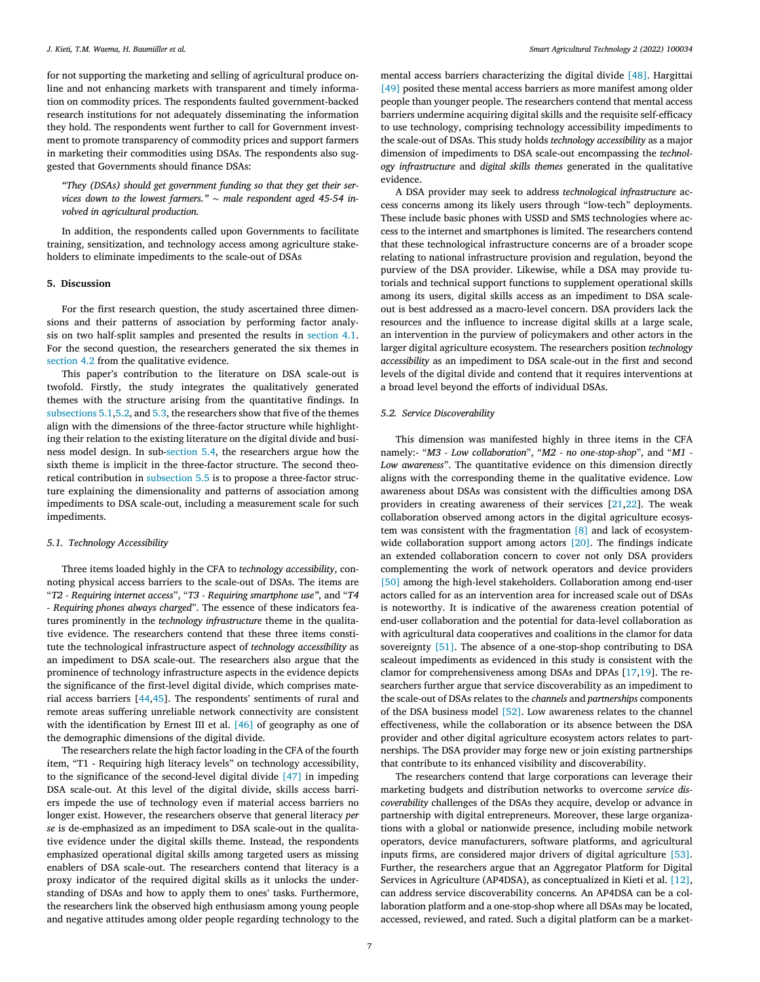<span id="page-6-0"></span>for not supporting the marketing and selling of agricultural produce online and not enhancing markets with transparent and timely information on commodity prices. The respondents faulted government-backed research institutions for not adequately disseminating the information they hold. The respondents went further to call for Government investment to promote transparency of commodity prices and support farmers in marketing their commodities using DSAs. The respondents also suggested that Governments should finance DSAs:

*"They (DSAs) should get government funding so that they get their services down to the lowest farmers."* ∼ *male respondent aged 45-54 involved in agricultural production.*

In addition, the respondents called upon Governments to facilitate training, sensitization, and technology access among agriculture stakeholders to eliminate impediments to the scale-out of DSAs

#### **5. Discussion**

For the first research question, the study ascertained three dimensions and their patterns of association by performing factor analysis on two half-split samples and presented the results in [section](#page-3-0) 4.1. For the second question, the researchers generated the six themes in [section](#page-4-0) 4.2 from the qualitative evidence.

This paper's contribution to the literature on DSA scale-out is twofold. Firstly, the study integrates the qualitatively generated themes with the structure arising from the quantitative findings. In subsections 5.1,5.2, and [5.3,](#page-7-0) the researchers show that five of the themes align with the dimensions of the three-factor structure while highlighting their relation to the existing literature on the digital divide and business model design. In sub[-section](#page-7-0) 5.4, the researchers argue how the sixth theme is implicit in the three-factor structure. The second theoretical contribution in [subsection](#page-7-0) 5.5 is to propose a three-factor structure explaining the dimensionality and patterns of association among impediments to DSA scale-out, including a measurement scale for such impediments.

## *5.1. Technology Accessibility*

Three items loaded highly in the CFA to *technology accessibility*, connoting physical access barriers to the scale-out of DSAs. The items are "*T2 - Requiring internet access*", "*T3 - Requiring smartphone use"*, and "*T4 - Requiring phones always charged*". The essence of these indicators features prominently in the *technology infrastructure* theme in the qualitative evidence. The researchers contend that these three items constitute the technological infrastructure aspect of *technology accessibility* as an impediment to DSA scale-out. The researchers also argue that the prominence of technology infrastructure aspects in the evidence depicts the significance of the first-level digital divide, which comprises material access barriers [\[44,45\]](#page-10-0). The respondents' sentiments of rural and remote areas suffering unreliable network connectivity are consistent with the identification by Ernest III et al. [\[46\]](#page-10-0) of geography as one of the demographic dimensions of the digital divide.

The researchers relate the high factor loading in the CFA of the fourth item, "T1 - Requiring high literacy levels" on technology accessibility, to the significance of the second-level digital divide [\[47\]](#page-10-0) in impeding DSA scale-out. At this level of the digital divide, skills access barriers impede the use of technology even if material access barriers no longer exist. However, the researchers observe that general literacy *per se* is de-emphasized as an impediment to DSA scale-out in the qualitative evidence under the digital skills theme. Instead, the respondents emphasized operational digital skills among targeted users as missing enablers of DSA scale-out. The researchers contend that literacy is a proxy indicator of the required digital skills as it unlocks the understanding of DSAs and how to apply them to ones' tasks. Furthermore, the researchers link the observed high enthusiasm among young people and negative attitudes among older people regarding technology to the mental access barriers characterizing the digital divide [\[48\].](#page-10-0) Hargittai [\[49\]](#page-10-0) posited these mental access barriers as more manifest among older people than younger people. The researchers contend that mental access barriers undermine acquiring digital skills and the requisite self-efficacy to use technology, comprising technology accessibility impediments to the scale-out of DSAs. This study holds *technology accessibility* as a major dimension of impediments to DSA scale-out encompassing the *technology infrastructure* and *digital skills themes* generated in the qualitative evidence.

A DSA provider may seek to address *technological infrastructure* access concerns among its likely users through "low-tech" deployments. These include basic phones with USSD and SMS technologies where access to the internet and smartphones is limited. The researchers contend that these technological infrastructure concerns are of a broader scope relating to national infrastructure provision and regulation, beyond the purview of the DSA provider. Likewise, while a DSA may provide tutorials and technical support functions to supplement operational skills among its users, digital skills access as an impediment to DSA scaleout is best addressed as a macro-level concern. DSA providers lack the resources and the influence to increase digital skills at a large scale, an intervention in the purview of policymakers and other actors in the larger digital agriculture ecosystem. The researchers position *technology accessibility* as an impediment to DSA scale-out in the first and second levels of the digital divide and contend that it requires interventions at a broad level beyond the efforts of individual DSAs.

#### *5.2. Service Discoverability*

This dimension was manifested highly in three items in the CFA namely:- "*M3 - Low collaboration*", "*M2 - no one-stop-shop*", and "*M1 - Low awareness*". The quantitative evidence on this dimension directly aligns with the corresponding theme in the qualitative evidence. Low awareness about DSAs was consistent with the difficulties among DSA providers in creating awareness of their services [\[21,22\]](#page-10-0). The weak collaboration observed among actors in the digital agriculture ecosystem was consistent with the fragmentation [\[8\]](#page-10-0) and lack of ecosystem-wide collaboration support among actors [\[20\].](#page-10-0) The findings indicate an extended collaboration concern to cover not only DSA providers complementing the work of network operators and device providers [\[50\]](#page-10-0) among the high-level stakeholders. Collaboration among end-user actors called for as an intervention area for increased scale out of DSAs is noteworthy. It is indicative of the awareness creation potential of end-user collaboration and the potential for data-level collaboration as with agricultural data cooperatives and coalitions in the clamor for data sovereignty [\[51\].](#page-10-0) The absence of a one-stop-shop contributing to DSA scaleout impediments as evidenced in this study is consistent with the clamor for comprehensiveness among DSAs and DPAs [\[17,19\]](#page-10-0). The researchers further argue that service discoverability as an impediment to the scale-out of DSAs relates to the *channels* and *partnerships* components of the DSA business model [\[52\].](#page-10-0) Low awareness relates to the channel effectiveness, while the collaboration or its absence between the DSA provider and other digital agriculture ecosystem actors relates to partnerships. The DSA provider may forge new or join existing partnerships that contribute to its enhanced visibility and discoverability.

The researchers contend that large corporations can leverage their marketing budgets and distribution networks to overcome *service discoverability* challenges of the DSAs they acquire, develop or advance in partnership with digital entrepreneurs. Moreover, these large organizations with a global or nationwide presence, including mobile network operators, device manufacturers, software platforms, and agricultural inputs firms, are considered major drivers of digital agriculture [\[53\].](#page-10-0) Further, the researchers argue that an Aggregator Platform for Digital Services in Agriculture (AP4DSA), as conceptualized in Kieti et al. [\[12\],](#page-10-0) can address service discoverability concerns*.* An AP4DSA can be a collaboration platform and a one-stop-shop where all DSAs may be located, accessed, reviewed, and rated. Such a digital platform can be a market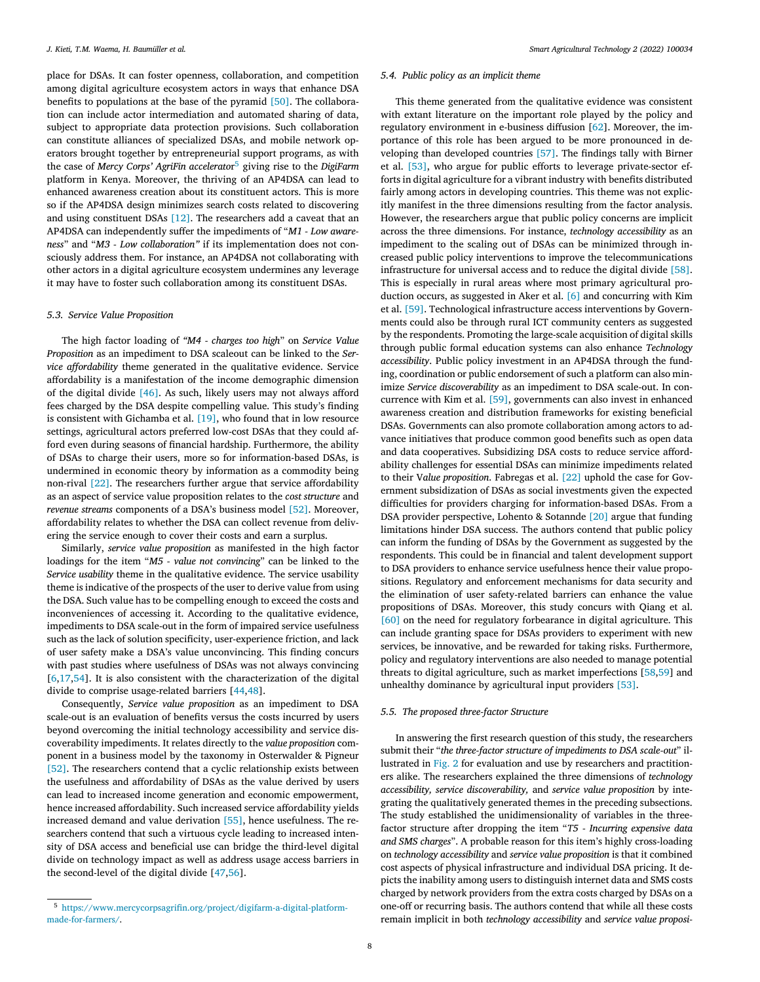<span id="page-7-0"></span>place for DSAs. It can foster openness, collaboration, and competition among digital agriculture ecosystem actors in ways that enhance DSA benefits to populations at the base of the pyramid [\[50\].](#page-10-0) The collaboration can include actor intermediation and automated sharing of data, subject to appropriate data protection provisions. Such collaboration can constitute alliances of specialized DSAs, and mobile network operators brought together by entrepreneurial support programs, as with the case of *Mercy Corps' AgriFin accelerato*r<sup>5</sup> giving rise to the *DigiFarm* platform in Kenya. Moreover, the thriving of an AP4DSA can lead to enhanced awareness creation about its constituent actors. This is more so if the AP4DSA design minimizes search costs related to discovering and using constituent DSAs [\[12\].](#page-10-0) The researchers add a caveat that an AP4DSA can independently suffer the impediments of "*M1 - Low awareness*" and "*M3 - Low collaboration"* if its implementation does not consciously address them. For instance, an AP4DSA not collaborating with other actors in a digital agriculture ecosystem undermines any leverage it may have to foster such collaboration among its constituent DSAs.

#### *5.3. Service Value Proposition*

The high factor loading of *"M4 - charges too high*" on *Service Value Proposition* as an impediment to DSA scaleout can be linked to the *Service affordability* theme generated in the qualitative evidence. Service affordability is a manifestation of the income demographic dimension of the digital divide [\[46\].](#page-10-0) As such, likely users may not always afford fees charged by the DSA despite compelling value. This study's finding is consistent with Gichamba et al. [\[19\],](#page-10-0) who found that in low resource settings, agricultural actors preferred low-cost DSAs that they could afford even during seasons of financial hardship. Furthermore, the ability of DSAs to charge their users, more so for information-based DSAs, is undermined in economic theory by information as a commodity being non-rival [\[22\].](#page-10-0) The researchers further argue that service affordability as an aspect of service value proposition relates to the *cost structure* and *revenue streams* components of a DSA's business model [\[52\].](#page-10-0) Moreover, affordability relates to whether the DSA can collect revenue from delivering the service enough to cover their costs and earn a surplus.

Similarly, *service value proposition* as manifested in the high factor loadings for the item "*M5 - value not convincing*" can be linked to the *Service usability* theme in the qualitative evidence. The service usability theme is indicative of the prospects of the user to derive value from using the DSA. Such value has to be compelling enough to exceed the costs and inconveniences of accessing it. According to the qualitative evidence, impediments to DSA scale-out in the form of impaired service usefulness such as the lack of solution specificity, user-experience friction, and lack of user safety make a DSA's value unconvincing. This finding concurs with past studies where usefulness of DSAs was not always convincing  $[6,17,54]$ . It is also consistent with the characterization of the digital divide to comprise usage-related barriers [\[44,48\]](#page-10-0).

Consequently, *Service value proposition* as an impediment to DSA scale-out is an evaluation of benefits versus the costs incurred by users beyond overcoming the initial technology accessibility and service discoverability impediments. It relates directly to the *value proposition* component in a business model by the taxonomy in Osterwalder & Pigneur [\[52\].](#page-10-0) The researchers contend that a cyclic relationship exists between the usefulness and affordability of DSAs as the value derived by users can lead to increased income generation and economic empowerment, hence increased affordability. Such increased service affordability yields increased demand and value derivation [\[55\],](#page-10-0) hence usefulness. The researchers contend that such a virtuous cycle leading to increased intensity of DSA access and beneficial use can bridge the third-level digital divide on technology impact as well as address usage access barriers in the second-level of the digital divide [\[47,56\]](#page-10-0).

## *5.4. Public policy as an implicit theme*

This theme generated from the qualitative evidence was consistent with extant literature on the important role played by the policy and regulatory environment in e-business diffusion [\[62\]](#page-11-0). Moreover, the importance of this role has been argued to be more pronounced in developing than developed countries [\[57\].](#page-10-0) The findings tally with Birner et al. [\[53\],](#page-10-0) who argue for public efforts to leverage private-sector efforts in digital agriculture for a vibrant industry with benefits distributed fairly among actors in developing countries. This theme was not explicitly manifest in the three dimensions resulting from the factor analysis. However, the researchers argue that public policy concerns are implicit across the three dimensions. For instance, *technology accessibility* as an impediment to the scaling out of DSAs can be minimized through increased public policy interventions to improve the telecommunications infrastructure for universal access and to reduce the digital divide [\[58\].](#page-10-0) This is especially in rural areas where most primary agricultural production occurs, as suggested in Aker et al. [\[6\]](#page-10-0) and concurring with Kim et al. [\[59\].](#page-11-0) Technological infrastructure access interventions by Governments could also be through rural ICT community centers as suggested by the respondents. Promoting the large-scale acquisition of digital skills through public formal education systems can also enhance *Technology accessibility*. Public policy investment in an AP4DSA through the funding, coordination or public endorsement of such a platform can also minimize *Service discoverability* as an impediment to DSA scale-out. In concurrence with Kim et al. [\[59\],](#page-11-0) governments can also invest in enhanced awareness creation and distribution frameworks for existing beneficial DSAs. Governments can also promote collaboration among actors to advance initiatives that produce common good benefits such as open data and data cooperatives. Subsidizing DSA costs to reduce service affordability challenges for essential DSAs can minimize impediments related to their V*alue proposition*. Fabregas et al. [\[22\]](#page-10-0) uphold the case for Government subsidization of DSAs as social investments given the expected difficulties for providers charging for information-based DSAs. From a DSA provider perspective, Lohento & Sotannde [\[20\]](#page-10-0) argue that funding limitations hinder DSA success. The authors contend that public policy can inform the funding of DSAs by the Government as suggested by the respondents. This could be in financial and talent development support to DSA providers to enhance service usefulness hence their value propositions. Regulatory and enforcement mechanisms for data security and the elimination of user safety-related barriers can enhance the value propositions of DSAs. Moreover, this study concurs with Qiang et al. [\[60\]](#page-11-0) on the need for regulatory forbearance in digital agriculture. This can include granting space for DSAs providers to experiment with new services, be innovative, and be rewarded for taking risks. Furthermore, policy and regulatory interventions are also needed to manage potential threats to digital agriculture, such as market imperfections [\[58,](#page-10-0)[59\]](#page-11-0) and unhealthy dominance by agricultural input providers [\[53\].](#page-10-0)

#### *5.5. The proposed three-factor Structure*

In answering the first research question of this study, the researchers submit their "*the three-factor structure of impediments to DSA scale-out*" illustrated in [Fig.](#page-4-0) 2 for evaluation and use by researchers and practitioners alike. The researchers explained the three dimensions of *technology accessibility, service discoverability,* and *service value proposition* by integrating the qualitatively generated themes in the preceding subsections. The study established the unidimensionality of variables in the threefactor structure after dropping the item "*T5 - Incurring expensive data and SMS charges*". A probable reason for this item's highly cross-loading on *technology accessibility* and *service value proposition* is that it combined cost aspects of physical infrastructure and individual DSA pricing. It depicts the inability among users to distinguish internet data and SMS costs charged by network providers from the extra costs charged by DSAs on a one-off or recurring basis. The authors contend that while all these costs remain implicit in both *technology accessibility* and *service value proposi-*

<sup>5</sup> [https://www.mercycorpsagrifin.org/project/digifarm-a-digital-platform](https://www.mercycorpsagrifin.org/project/digifarm-a-digital-platform-made-for-farmers/)made-for-farmers/.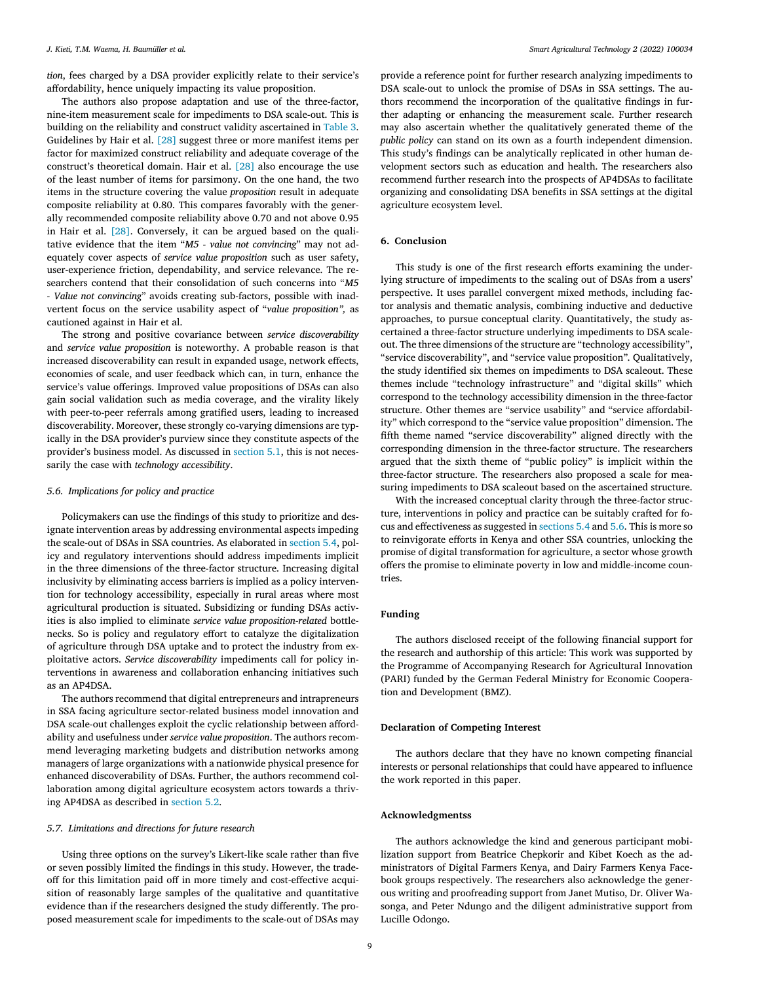*tion*, fees charged by a DSA provider explicitly relate to their service's affordability, hence uniquely impacting its value proposition.

The authors also propose adaptation and use of the three-factor, nine-item measurement scale for impediments to DSA scale-out. This is building on the reliability and construct validity ascertained in [Table](#page-3-0) 3. Guidelines by Hair et al. [\[28\]](#page-10-0) suggest three or more manifest items per factor for maximized construct reliability and adequate coverage of the construct's theoretical domain. Hair et al. [\[28\]](#page-10-0) also encourage the use of the least number of items for parsimony. On the one hand, the two items in the structure covering the value *proposition* result in adequate composite reliability at 0.80. This compares favorably with the generally recommended composite reliability above 0.70 and not above 0.95 in Hair et al. [\[28\].](#page-10-0) Conversely, it can be argued based on the qualitative evidence that the item "*M5 - value not convincing*" may not adequately cover aspects of *service value proposition* such as user safety, user-experience friction, dependability, and service relevance. The researchers contend that their consolidation of such concerns into "*M5 - Value not convincing*" avoids creating sub-factors, possible with inadvertent focus on the service usability aspect of "*value proposition",* as cautioned against in Hair et al.

The strong and positive covariance between *service discoverability* and *service value proposition* is noteworthy. A probable reason is that increased discoverability can result in expanded usage, network effects, economies of scale, and user feedback which can, in turn, enhance the service's value offerings. Improved value propositions of DSAs can also gain social validation such as media coverage, and the virality likely with peer-to-peer referrals among gratified users, leading to increased discoverability. Moreover, these strongly co-varying dimensions are typically in the DSA provider's purview since they constitute aspects of the provider's business model. As discussed in [section](#page-6-0) 5.1, this is not necessarily the case with *technology accessibility*.

#### *5.6. Implications for policy and practice*

Policymakers can use the findings of this study to prioritize and designate intervention areas by addressing environmental aspects impeding the scale-out of DSAs in SSA countries. As elaborated in [section](#page-7-0) 5.4, policy and regulatory interventions should address impediments implicit in the three dimensions of the three-factor structure. Increasing digital inclusivity by eliminating access barriers is implied as a policy intervention for technology accessibility, especially in rural areas where most agricultural production is situated. Subsidizing or funding DSAs activities is also implied to eliminate *service value proposition-related* bottlenecks. So is policy and regulatory effort to catalyze the digitalization of agriculture through DSA uptake and to protect the industry from exploitative actors. *Service discoverability* impediments call for policy interventions in awareness and collaboration enhancing initiatives such as an AP4DSA.

The authors recommend that digital entrepreneurs and intrapreneurs in SSA facing agriculture sector-related business model innovation and DSA scale-out challenges exploit the cyclic relationship between affordability and usefulness under *service value proposition*. The authors recommend leveraging marketing budgets and distribution networks among managers of large organizations with a nationwide physical presence for enhanced discoverability of DSAs. Further, the authors recommend collaboration among digital agriculture ecosystem actors towards a thriving AP4DSA as described in [section](#page-6-0) 5.2.

#### *5.7. Limitations and directions for future research*

Using three options on the survey's Likert-like scale rather than five or seven possibly limited the findings in this study. However, the tradeoff for this limitation paid off in more timely and cost-effective acquisition of reasonably large samples of the qualitative and quantitative evidence than if the researchers designed the study differently. The proposed measurement scale for impediments to the scale-out of DSAs may provide a reference point for further research analyzing impediments to DSA scale-out to unlock the promise of DSAs in SSA settings. The authors recommend the incorporation of the qualitative findings in further adapting or enhancing the measurement scale. Further research may also ascertain whether the qualitatively generated theme of the *public policy* can stand on its own as a fourth independent dimension. This study's findings can be analytically replicated in other human development sectors such as education and health. The researchers also recommend further research into the prospects of AP4DSAs to facilitate organizing and consolidating DSA benefits in SSA settings at the digital agriculture ecosystem level.

#### **6. Conclusion**

This study is one of the first research efforts examining the underlying structure of impediments to the scaling out of DSAs from a users' perspective. It uses parallel convergent mixed methods, including factor analysis and thematic analysis, combining inductive and deductive approaches, to pursue conceptual clarity. Quantitatively, the study ascertained a three-factor structure underlying impediments to DSA scaleout. The three dimensions of the structure are "technology accessibility", "service discoverability", and "service value proposition"*.* Qualitatively, the study identified six themes on impediments to DSA scaleout. These themes include "technology infrastructure" and "digital skills" which correspond to the technology accessibility dimension in the three-factor structure. Other themes are "service usability" and "service affordability" which correspond to the "service value proposition" dimension. The fifth theme named "service discoverability" aligned directly with the corresponding dimension in the three-factor structure. The researchers argued that the sixth theme of "public policy" is implicit within the three-factor structure. The researchers also proposed a scale for measuring impediments to DSA scaleout based on the ascertained structure.

With the increased conceptual clarity through the three-factor structure, interventions in policy and practice can be suitably crafted for focus and effectiveness as suggested in [sections](#page-7-0) 5.4 and 5.6. This is more so to reinvigorate efforts in Kenya and other SSA countries, unlocking the promise of digital transformation for agriculture, a sector whose growth offers the promise to eliminate poverty in low and middle-income countries.

#### **Funding**

The authors disclosed receipt of the following financial support for the research and authorship of this article: This work was supported by the Programme of Accompanying Research for Agricultural Innovation (PARI) funded by the German Federal Ministry for Economic Cooperation and Development (BMZ).

#### **Declaration of Competing Interest**

The authors declare that they have no known competing financial interests or personal relationships that could have appeared to influence the work reported in this paper.

## **Acknowledgmentss**

The authors acknowledge the kind and generous participant mobilization support from Beatrice Chepkorir and Kibet Koech as the administrators of Digital Farmers Kenya, and Dairy Farmers Kenya Facebook groups respectively. The researchers also acknowledge the generous writing and proofreading support from Janet Mutiso, Dr. Oliver Wasonga, and Peter Ndungo and the diligent administrative support from Lucille Odongo.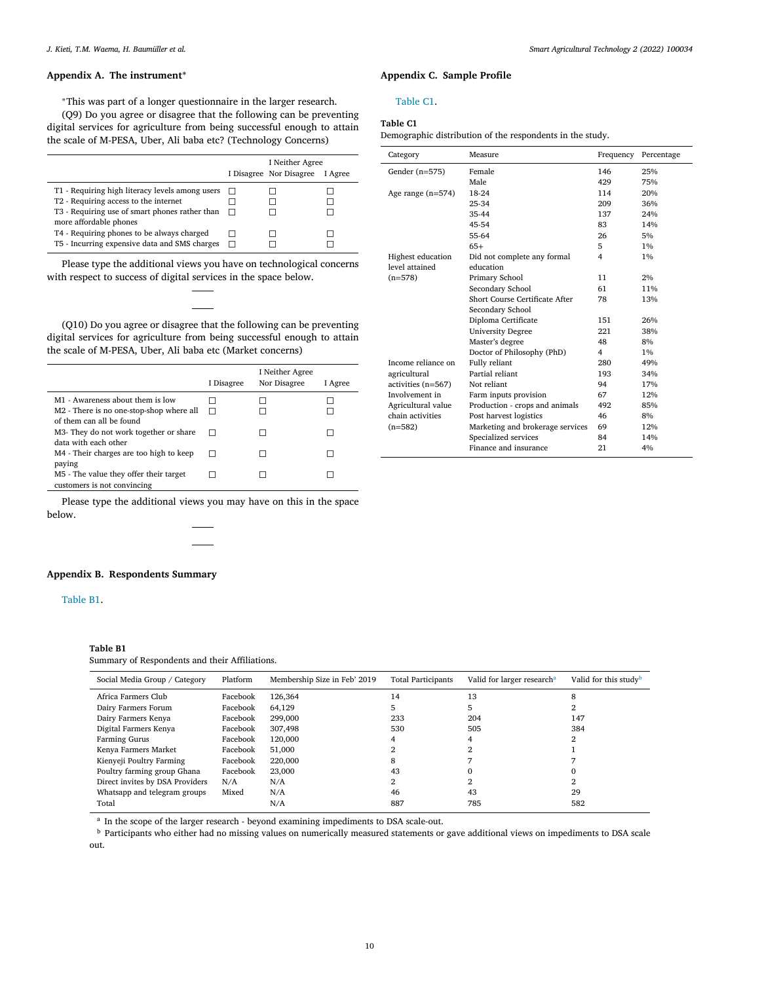# <span id="page-9-0"></span>**Appendix A. The instrument<sup>∗</sup>**

<sup>∗</sup>This was part of a longer questionnaire in the larger research.

(Q9) Do you agree or disagree that the following can be preventing digital services for agriculture from being successful enough to attain the scale of M-PESA, Uber, Ali baba etc? (Technology Concerns)

|                                                                                                                                                                                                                                                                     |         | I Neither Agree<br>I Disagree Nor Disagree | I Agree |
|---------------------------------------------------------------------------------------------------------------------------------------------------------------------------------------------------------------------------------------------------------------------|---------|--------------------------------------------|---------|
| T1 - Requiring high literacy levels among users<br>T2 - Requiring access to the internet<br>T3 - Requiring use of smart phones rather than<br>more affordable phones<br>T4 - Requiring phones to be always charged<br>T5 - Incurring expensive data and SMS charges | $\perp$ |                                            |         |

Please type the additional views you have on technological concerns with respect to success of digital services in the space below.

(Q10) Do you agree or disagree that the following can be preventing digital services for agriculture from being successful enough to attain the scale of M-PESA, Uber, Ali baba etc (Market concerns)

|                                                                       | I Disagree | I Neither Agree<br>Nor Disagree | I Agree |
|-----------------------------------------------------------------------|------------|---------------------------------|---------|
| M1 - Awareness about them is low                                      |            |                                 |         |
| M2 - There is no one-stop-shop where all<br>of them can all be found  |            |                                 |         |
| M3- They do not work together or share<br>data with each other        |            |                                 |         |
| M4 - Their charges are too high to keep<br>paying                     |            |                                 |         |
| M5 - The value they offer their target<br>customers is not convincing |            |                                 |         |

Please type the additional views you may have on this in the space below.

## **Appendix B. Respondents Summary**

## Table B1.

#### **Table B1**

Summary of Respondents and their Affiliations.

| Social Media Group / Category   | Platform | Membership Size in Feb' 2019 | <b>Total Participants</b> | Valid for larger research <sup>a</sup> | Valid for this study <sup>b</sup> |
|---------------------------------|----------|------------------------------|---------------------------|----------------------------------------|-----------------------------------|
| Africa Farmers Club             | Facebook | 126,364                      | 14                        | 13                                     |                                   |
| Dairy Farmers Forum             | Facebook | 64.129                       | 5                         | 5                                      |                                   |
| Dairy Farmers Kenya             | Facebook | 299.000                      | 233                       | 204                                    | 147                               |
| Digital Farmers Kenya           | Facebook | 307,498                      | 530                       | 505                                    | 384                               |
| Farming Gurus                   | Facebook | 120,000                      | 4                         | 4                                      |                                   |
| Kenya Farmers Market            | Facebook | 51,000                       |                           |                                        |                                   |
| Kienyeji Poultry Farming        | Facebook | 220,000                      | 8                         |                                        |                                   |
| Poultry farming group Ghana     | Facebook | 23,000                       | 43                        |                                        |                                   |
| Direct invites by DSA Providers | N/A      | N/A                          | ◠                         |                                        |                                   |
| Whatsapp and telegram groups    | Mixed    | N/A                          | 46                        | 43                                     | 29                                |
| Total                           |          | N/A                          | 887                       | 785                                    | 582                               |

<sup>a</sup> In the scope of the larger research - beyond examining impediments to DSA scale-out.

**b** Participants who either had no missing values on numerically measured statements or gave additional views on impediments to DSA scale out.

# **Appendix C. Sample Profile**

## Table C1.

## **Table C1**

Demographic distribution of the respondents in the study.

| Category            | Measure                          | Frequency | Percentage |
|---------------------|----------------------------------|-----------|------------|
| Gender $(n=575)$    | Female                           | 146       | 25%        |
|                     | Male                             | 429       | 75%        |
| Age range $(n=574)$ | 18-24                            | 114       | 20%        |
|                     | 25-34                            | 209       | 36%        |
|                     | 35-44                            | 137       | 24%        |
|                     | 45-54                            | 83        | 14%        |
|                     | 55-64                            | 26        | 5%         |
|                     | $65+$                            | 5         | $1\%$      |
| Highest education   | Did not complete any formal      | 4         | $1\%$      |
| level attained      | education                        |           |            |
| $(n=578)$           | Primary School                   | 11        | 2%         |
|                     | Secondary School                 | 61        | 11%        |
|                     | Short Course Certificate After   | 78        | 13%        |
|                     | Secondary School                 |           |            |
|                     | Diploma Certificate              | 151       | 26%        |
|                     | <b>University Degree</b>         | 221       | 38%        |
|                     | Master's degree                  | 48        | 8%         |
|                     | Doctor of Philosophy (PhD)       | 4         | 1%         |
| Income reliance on  | Fully reliant                    | 280       | 49%        |
| agricultural        | Partial reliant                  | 193       | 34%        |
| activities (n=567)  | Not reliant                      | 94        | 17%        |
| Involvement in      | Farm inputs provision            | 67        | 12%        |
| Agricultural value  | Production - crops and animals   | 492       | 85%        |
| chain activities    | Post harvest logistics           | 46        | 8%         |
| $(n=582)$           | Marketing and brokerage services | 69        | 12%        |
|                     | Specialized services             | 84        | 14%        |
|                     | Finance and insurance            | 21        | 4%         |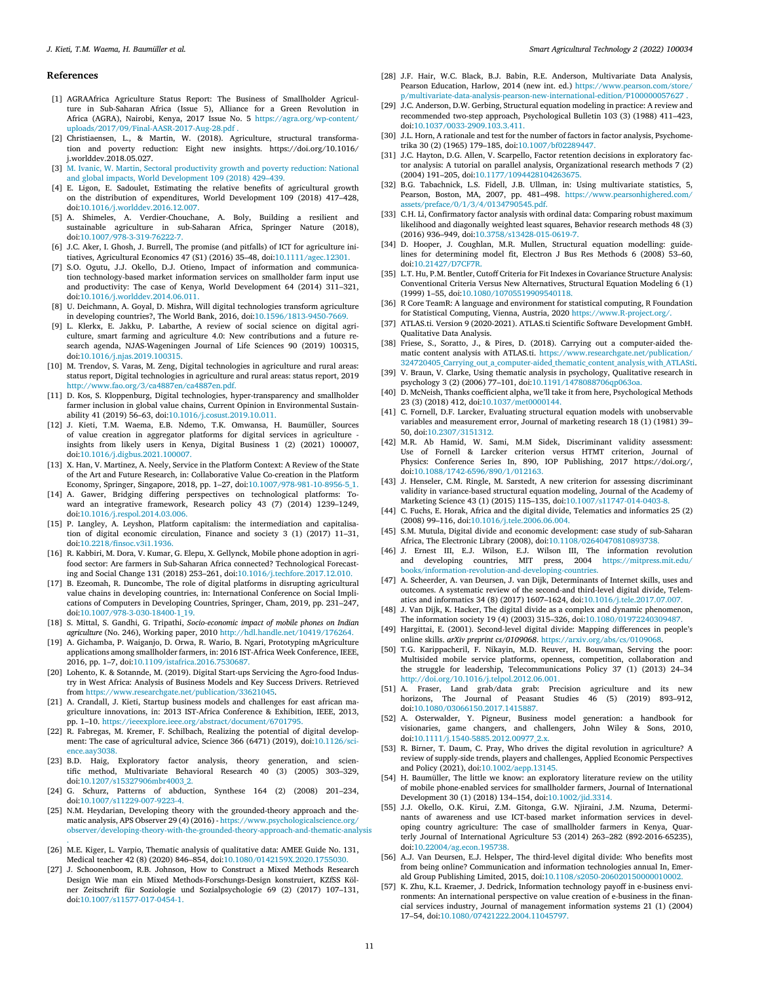#### <span id="page-10-0"></span>**References**

- [1] AGRAAfrica Agriculture Status Report: The Business of Smallholder Agriculture in Sub-Saharan Africa (Issue 5), Alliance for a Green Revolution in Africa (AGRA), Nairobi, Kenya, 2017 Issue No. 5 https://agra.org/wp-content/ [uploads/2017/09/Final-AASR-2017-Aug-28.pdf](https://agra.org/wp-content/uploads/2017/09/Final-AASR-2017-Aug-28.pdf) .
- [2] Christiaensen, L., & Martin, W. (2018). Agriculture, structural transformation and poverty reduction: Eight new insights. https://doi.org/10.1016/ j.worlddev.2018.05.027.
- [3] M. [Ivanic,](http://refhub.elsevier.com/S2772-3755(22)00001-6/sbref0003) W. [Martin,](http://refhub.elsevier.com/S2772-3755(22)00001-6/sbref0003) Sectoral productivity growth and poverty reduction: National and global impacts, World [Development](http://refhub.elsevier.com/S2772-3755(22)00001-6/sbref0003) 109 (2018) 429–439.
- [4] E. Ligon, E. Sadoulet, Estimating the relative benefits of agricultural growth on the distribution of expenditures, World Development 109 (2018) 417–428, doi[:10.1016/j.worlddev.2016.12.007.](https://doi.org/10.1016/j.worlddev.2016.12.007)
- [5] A. Shimeles, A. Verdier-Chouchane, A. Boly, Building a resilient and sustainable agriculture in sub-Saharan Africa, Springer Nature (2018), doi[:10.1007/978-3-319-76222-7.](https://doi.org/10.1007/978-3-319-76222-7)
- [6] J.C. Aker, I. Ghosh, J. Burrell, The promise (and pitfalls) of ICT for agriculture initiatives, Agricultural Economics 47 (S1) (2016) 35–48, doi[:10.1111/agec.12301.](https://doi.org/10.1111/agec.12301)
- [7] S.O. Ogutu, J.J. Okello, D.J. Otieno, Impact of information and communication technology-based market information services on smallholder farm input use and productivity: The case of Kenya, World Development 64 (2014) 311–321, doi[:10.1016/j.worlddev.2014.06.011.](https://doi.org/10.1016/j.worlddev.2014.06.011)
- [8] U. Deichmann, A. Goyal, D. Mishra, Will digital technologies transform agriculture in developing countries?, The World Bank, 2016, doi[:10.1596/1813-9450-7669.](https://doi.org/10.1596/1813-9450-7669)
- [9] L. Klerkx, E. Jakku, P. Labarthe, A review of social science on digital agriculture, smart farming and agriculture 4.0: New contributions and a future research agenda, NJAS-Wageningen Journal of Life Sciences 90 (2019) 100315, doi[:10.1016/j.njas.2019.100315.](https://doi.org/10.1016/j.njas.2019.100315)
- [10] M. Trendov, S. Varas, M. Zeng, Digital technologies in agriculture and rural areas: status report, Digital technologies in agriculture and rural areas: status report, 2019 [http://www.fao.org/3/ca4887en/ca4887en.pdf.](http://www.fao.org/3/ca4887en/ca4887en.pdf)
- [11] D. Kos, S. Kloppenburg, Digital technologies, hyper-transparency and smallholder farmer inclusion in global value chains, Current Opinion in Environmental Sustainability 41 (2019) 56–63, doi[:10.1016/j.cosust.2019.10.011.](https://doi.org/10.1016/j.cosust.2019.10.011)
- [12] J. Kieti, T.M. Waema, E.B. Ndemo, T.K. Omwansa, H. Baumüller, Sources of value creation in aggregator platforms for digital services in agriculture insights from likely users in Kenya, Digital Business 1 (2) (2021) 100007, doi[:10.1016/j.digbus.2021.100007.](https://doi.org/10.1016/j.digbus.2021.100007)
- [13] X. Han, V. Martinez, A. Neely, Service in the Platform Context: A Review of the State of the Art and Future Research, in: Collaborative Value Co-creation in the Platform Economy, Springer, Singapore, 2018, pp. 1–27, doi[:10.1007/978-981-10-8956-5\\_1.](https://doi.org/10.1007/978-981-10-8956-5_1)
- [14] A. Gawer, Bridging differing perspectives on technological platforms: Toward an integrative framework, Research policy 43 (7) (2014) 1239–1249, doi[:10.1016/j.respol.2014.03.006.](https://doi.org/10.1016/j.respol.2014.03.006)
- [15] P. Langley, A. Leyshon, Platform capitalism: the intermediation and capitalisation of digital economic circulation, Finance and society 3 (1) (2017) 11–31, doi[:10.2218/finsoc.v3i1.1936.](https://doi.org/10.2218/finsoc.v3i1.1936)
- [16] R. Kabbiri, M. Dora, V. Kumar, G. Elepu, X. Gellynck, Mobile phone adoption in agrifood sector: Are farmers in Sub-Saharan Africa connected? Technological Forecasting and Social Change 131 (2018) 253–261, doi[:10.1016/j.techfore.2017.12.010.](https://doi.org/10.1016/j.techfore.2017.12.010)
- [17] B. Ezeomah, R. Duncombe, The role of digital platforms in disrupting agricultural value chains in developing countries, in: International Conference on Social Implications of Computers in Developing Countries, Springer, Cham, 2019, pp. 231–247, doi[:10.1007/978-3-030-18400-1\\_19.](https://doi.org/10.1007/978-3-030-18400-1_19)
- [18] S. Mittal, S. Gandhi, G. Tripathi, *Socio-economic impact of mobile phones on Indian agriculture* (No. 246), Working paper, 2010 [http://hdl.handle.net/10419/176264.](http://hdl.handle.net/10419/176264)
- [19] A. Gichamba, P. Waiganjo, D. Orwa, R. Wario, B. Ngari, Prototyping mAgriculture applications among smallholder farmers, in: 2016 IST-Africa Week Conference, IEEE, 2016, pp. 1–7, doi[:10.1109/istafrica.2016.7530687.](https://doi.org/10.1109/istafrica.2016.7530687)
- [20] Lohento, K. & Sotannde, M. (2019). Digital Start-ups Servicing the Agro-food Industry in West Africa: Analysis of Business Models and Key Success Drivers. Retrieved from [https://www.researchgate.net/publication/33621045.](https://www.researchgate.net/publication/33621045)
- [21] A. Crandall, J. Kieti, Startup business models and challenges for east african magriculture innovations, in: 2013 IST-Africa Conference & Exhibition, IEEE, 2013, pp. 1–10. [https://ieeexplore.ieee.org/abstract/document/6701795.](https://ieeexplore.ieee.org/abstract/document/6701795)
- [22] R. Fabregas, M. Kremer, F. Schilbach, Realizing the potential of digital development: The case of agricultural advice, Science 366 (6471) (2019), [doi:10.1126/sci](https://doi.org/10.1126/science.aay3038)ence.aay3038.
- [23] B.D. Haig, Exploratory factor analysis, theory generation, and scien-tific method, Multivariate Behavioral Research 40 (3) (2005) 303–329, doi[:10.1207/s15327906mbr4003\\_2.](https://doi.org/10.1207/s15327906mbr4003_2)
- [24] G. Schurz, Patterns of abduction, Synthese 164 (2) (2008) 201–234, doi[:10.1007/s11229-007-9223-4.](https://doi.org/10.1007/s11229-007-9223-4)
- [25] N.M. Heydarian, Developing theory with the grounded-theory approach and thematic analysis, APS Observer 29 (4) (2016) - https://www.psychologicalscience.org/ [observer/developing-theory-with-the-grounded-theory-approach-and-thematic-analysis](https://www.psychologicalscience.org/observer/developing-theory-with-the-grounded-theory-approach-and-thematic-analysis) .
- [26] M.E. Kiger, L. Varpio, Thematic analysis of qualitative data: AMEE Guide No. 131, Medical teacher 42 (8) (2020) 846–854, doi[:10.1080/0142159X.2020.1755030.](https://doi.org/10.1080/0142159X.2020.1755030)
- [27] J. Schoonenboom, R.B. Johnson, How to Construct a Mixed Methods Research Design Wie man ein Mixed Methods-Forschungs-Design konstruiert, KZfSS Kölner Zeitschrift für Soziologie und Sozialpsychologie 69 (2) (2017) 107–131, doi[:10.1007/s11577-017-0454-1.](https://doi.org/10.1007/s11577-017-0454-1)
- [28] J.F. Hair, W.C. Black, B.J. Babin, R.E. Anderson, Multivariate Data Analysis, Pearson Education, Harlow, 2014 (new int. ed.) https://www.pearson.com/store/ [p/multivariate-data-analysis-pearson-new-international-edition/P100000057627](https://www.pearson.com/store/p/multivariate-data-analysis-pearson-new-international-edition/P100000057627) .
- [29] J.C. Anderson, D.W. Gerbing, Structural equation modeling in practice: A review and recommended two-step approach, Psychological Bulletin 103 (3) (1988) 411–423, doi[:10.1037/0033-2909.103.3.411.](https://doi.org/10.1037/0033-2909.103.3.411)
- [30] J.L. Horn, A rationale and test for the number of factors in factor analysis, Psychometrika 30 (2) (1965) 179–185, doi[:10.1007/bf02289447.](https://doi.org/10.1007/bf02289447)
- [31] J.C. Hayton, D.G. Allen, V. Scarpello, Factor retention decisions in exploratory factor analysis: A tutorial on parallel analysis, Organizational research methods 7 (2) (2004) 191–205, doi[:10.1177/1094428104263675.](https://doi.org/10.1177/1094428104263675)
- [32] B.G. Tabachnick, L.S. Fidell, J.B. Ullman, in: Using multivariate statistics, 5, Pearson, Boston, MA, 2007, pp. 481–498. https://www.pearsonhighered.com/ [assets/preface/0/1/3/4/0134790545.pdf.](https://www.pearsonhighered.com/assets/preface/0/1/3/4/0134790545.pdf)
- [33] C.H. Li, Confirmatory factor analysis with ordinal data: Comparing robust maximum likelihood and diagonally weighted least squares, Behavior research methods 48 (3) (2016) 936–949, doi[:10.3758/s13428-015-0619-7.](https://doi.org/10.3758/s13428-015-0619-7)
- [34] D. Hooper, J. Coughlan, M.R. Mullen, Structural equation modelling: guidelines for determining model fit, Electron J Bus Res Methods 6 (2008) 53–60, doi[:10.21427/D7CF7R.](https://doi.org/10.21427/D7CF7R)
- [35] L.T. Hu, P.M. Bentler, Cutoff Criteria for Fit Indexes in Covariance Structure Analysis: Conventional Criteria Versus New Alternatives, Structural Equation Modeling 6 (1) (1999) 1–55, doi[:10.1080/10705519909540118.](https://doi.org/10.1080/10705519909540118)
- [36] R Core TeamR: A language and environment for statistical computing, R Foundation for Statistical Computing, Vienna, Austria, 2020 [https://www.R-project.org/.](https://www.R-project.org/)
- [37] ATLAS.ti. Version 9 (2020-2021). ATLAS.ti Scientific Software Development GmbH. Qualitative Data Analysis.
- [38] Friese, S., Soratto, J., & Pires, D. (2018). Carrying out a computer-aided thematic content analysis with ATLAS.ti. https://www.researchgate.net/publication/ [324720405\\_Carrying\\_out\\_a\\_computer-aided\\_thematic\\_content\\_analysis\\_with\\_ATLASti.](https://www.researchgate.net/publication/324720405_Carrying_out_a_computer-aided_thematic_content_analysis_with_ATLASti)
- [39] V. Braun, V. Clarke, Using thematic analysis in psychology, Qualitative research in psychology 3 (2) (2006) 77–101, doi[:10.1191/1478088706qp063oa.](https://doi.org/10.1191/1478088706qp063oa)
- [40] D. McNeish, Thanks coefficient alpha, we'll take it from here, Psychological Methods 23 (3) (2018) 412, doi[:10.1037/met0000144.](https://doi.org/10.1037/met0000144)
- [41] C. Fornell, D.F. Larcker, Evaluating structural equation models with unobservable variables and measurement error, Journal of marketing research 18 (1) (1981) 39– 50, doi[:10.2307/3151312.](https://doi.org/10.2307/3151312)
- [42] M.R. Ab Hamid, W. Sami, M.M Sidek, Discriminant validity assessment: Use of Fornell & Larcker criterion versus HTMT criterion, Journal of Physics: Conference Series In, 890, IOP Publishing, 2017 https://doi.org/, doi[:10.1088/1742-6596/890/1/012163.](https://doi.org/10.1088/1742-6596/890/1/012163)
- [43] J. Henseler, C.M. Ringle, M. Sarstedt, A new criterion for assessing discriminant validity in variance-based structural equation modeling, Journal of the Academy of Marketing Science 43 (1) (2015) 115–135, doi[:10.1007/s11747-014-0403-8.](https://doi.org/10.1007/s11747-014-0403-8)
- [44] C. Fuchs, E. Horak, Africa and the digital divide, Telematics and informatics 25 (2) (2008) 99–116, doi[:10.1016/j.tele.2006.06.004.](https://doi.org/10.1016/j.tele.2006.06.004)
- [45] S.M. Mutula, Digital divide and economic development: case study of sub-Saharan Africa, The Electronic Library (2008), doi[:10.1108/02640470810893738.](https://doi.org/10.1108/02640470810893738)
- [46] J. Ernest III, E.J. Wilson, E.J. Wilson III, The information revolution and developing countries, MIT press, 2004 https://mitpress.mit.edu/ [books/information-revolution-and-developing-countries.](https://mitpress.mit.edu/books/information-revolution-and-developing-countries)
- [47] A. Scheerder, A. van Deursen, J. van Dijk, Determinants of Internet skills, uses and outcomes. A systematic review of the second-and third-level digital divide, Telematics and informatics 34 (8) (2017) 1607–1624, doi[:10.1016/j.tele.2017.07.007.](https://doi.org/10.1016/j.tele.2017.07.007)
- [48] J. Van Dijk, K. Hacker, The digital divide as a complex and dynamic phenomenon, The information society 19 (4) (2003) 315–326, doi[:10.1080/01972240309487.](https://doi.org/10.1080/01972240309487)
- [49] Hargittai, E. (2001). Second-level digital divide: Mapping differences in people's online skills. *arXiv preprint cs/0109068*. [https://arxiv.org/abs/cs/0109068.](https://arxiv.org/abs/cs/0109068)
- [50] T.G. Karippacheril, F. Nikayin, M.D. Reuver, H. Bouwman, Serving the poor: Multisided mobile service platforms, openness, competition, collaboration and the struggle for leadership, Telecommunications Policy 37 (1) (2013) 24–34 [http://doi.org/10.1016/j.telpol.2012.06.001.](http://doi.org/10.1016/j.telpol.2012.06.001)
- [51] A. Fraser, Land grab/data grab: Precision agriculture and its new horizons, The Journal of Peasant Studies 46 (5) (2019) 893–912, doi[:10.1080/03066150.2017.1415887.](https://doi.org/10.1080/03066150.2017.1415887)
- [52] A. Osterwalder, Y. Pigneur, Business model generation: a handbook for visionaries, game changers, and challengers, John Wiley & Sons, 2010, doi[:10.1111/j.1540-5885.2012.00977\\_2.x.](https://doi.org/10.1111/j.1540-5885.2012.00977_2.x)
- [53] R. Birner, T. Daum, C. Pray, Who drives the digital revolution in agriculture? A review of supply-side trends, players and challenges, Applied Economic Perspectives and Policy (2021), doi[:10.1002/aepp.13145.](https://doi.org/10.1002/aepp.13145)
- [54] H. Baumüller, The little we know: an exploratory literature review on the utility of mobile phone-enabled services for smallholder farmers, Journal of International Development 30 (1) (2018) 134–154, doi[:10.1002/jid.3314.](https://doi.org/10.1002/jid.3314)
- [55] J.J. Okello, O.K. Kirui, Z.M. Gitonga, G.W. Njiraini, J.M. Nzuma, Determinants of awareness and use ICT-based market information services in developing country agriculture: The case of smallholder farmers in Kenya, Quarterly Journal of International Agriculture 53 (2014) 263–282 (892-2016-65235), doi[:10.22004/ag.econ.195738.](https://doi.org/10.22004/ag.econ.195738)
- [56] A.J. Van Deursen, E.J. Helsper, The third-level digital divide: Who benefits most from being online? Communication and information technologies annual In, Emerald Group Publishing Limited, 2015, doi[:10.1108/s2050-206020150000010002.](https://doi.org/10.1108/s2050-206020150000010002)
- [57] K. Zhu, K.L. Kraemer, J. Dedrick, Information technology payoff in e-business environments: An international perspective on value creation of e-business in the financial services industry, Journal of management information systems 21 (1) (2004) 17–54, doi[:10.1080/07421222.2004.11045797.](https://doi.org/10.1080/07421222.2004.11045797)